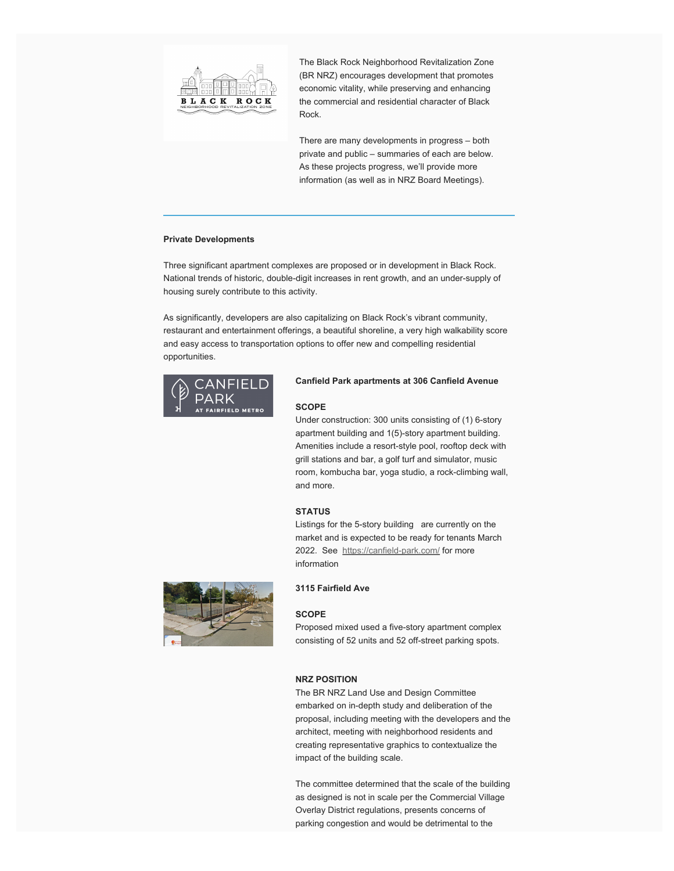

The Black Rock Neighborhood Revitalization Zone (BR NRZ) encourages development that promotes economic vitality, while preserving and enhancing the commercial and residential character of Black Rock.

There are many developments in progress – both private and public – summaries of each are below. As these projects progress, we'll provide more information (as well as in NRZ Board Meetings).

### **Private Developments**

Three significant apartment complexes are proposed or in development in Black Rock. National trends of historic, double-digit increases in rent growth, and an under-supply of housing surely contribute to this activity.

As significantly, developers are also capitalizing on Black Rock's vibrant community, restaurant and entertainment offerings, a beautiful shoreline, a very high walkability score and easy access to transportation options to offer new and compelling residential opportunities.



# **Canfield Park apartments at 306 Canfield Avenue**

# **SCOPE**

Under construction: 300 units consisting of (1) 6-story apartment building and 1(5)-story apartment building. Amenities include a resort-style pool, rooftop deck with grill stations and bar, a golf turf and simulator, music room, kombucha bar, yoga studio, a rock-climbing wall, and more.

### **STATUS**

Listings for the 5-story building are currently on the market and is expected to be ready for tenants March 2022. See https://canfield-park.com/ for more information



**3115 Fairfield Ave**

## **SCOPE**

Proposed mixed used a five-story apartment complex consisting of 52 units and 52 off-street parking spots.

# **NRZ POSITION**

The BR NRZ Land Use and Design Committee embarked on in-depth study and deliberation of the proposal, including meeting with the developers and the architect, meeting with neighborhood residents and creating representative graphics to contextualize the impact of the building scale.

The committee determined that the scale of the building as designed is not in scale per the Commercial Village Overlay District regulations, presents concerns of parking congestion and would be detrimental to the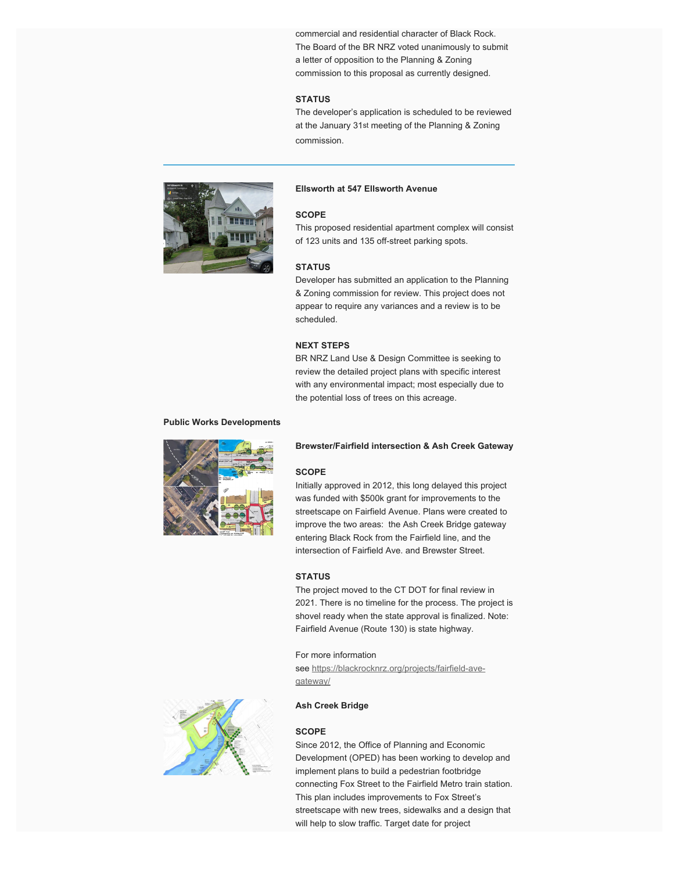commercial and residential character of Black Rock. The Board of the BR NRZ voted unanimously to submit a letter of opposition to the Planning & Zoning commission to this proposal as currently designed.

# **STATUS**

The developer's application is scheduled to be reviewed at the January 31st meeting of the Planning & Zoning commission.



# **Ellsworth at 547 Ellsworth Avenue**

### **SCOPE**

This proposed residential apartment complex will consist of 123 units and 135 off-street parking spots.

# **STATUS**

Developer has submitted an application to the Planning & Zoning commission for review. This project does not appear to require any variances and a review is to be scheduled.

# **NEXT STEPS**

BR NRZ Land Use & Design Committee is seeking to review the detailed project plans with specific interest with any environmental impact; most especially due to the potential loss of trees on this acreage.

#### **Public Works Developments**



#### **Brewster/Fairfield intersection & Ash Creek Gateway**

### **SCOPE**

Initially approved in 2012, this long delayed this project was funded with \$500k grant for improvements to the streetscape on Fairfield Avenue. Plans were created to improve the two areas: the Ash Creek Bridge gateway entering Black Rock from the Fairfield line, and the intersection of Fairfield Ave. and Brewster Street.

### **STATUS**

The project moved to the CT DOT for final review in 2021. There is no timeline for the process. The project is shovel ready when the state approval is finalized. Note: Fairfield Avenue (Route 130) is state highway.

For more information

see https://blackrocknrz.org/projects/fairfield-avegateway/



#### **SCOPE**

Since 2012, the Office of Planning and Economic Development (OPED) has been working to develop and implement plans to build a pedestrian footbridge connecting Fox Street to the Fairfield Metro train station. This plan includes improvements to Fox Street's streetscape with new trees, sidewalks and a design that will help to slow traffic. Target date for project